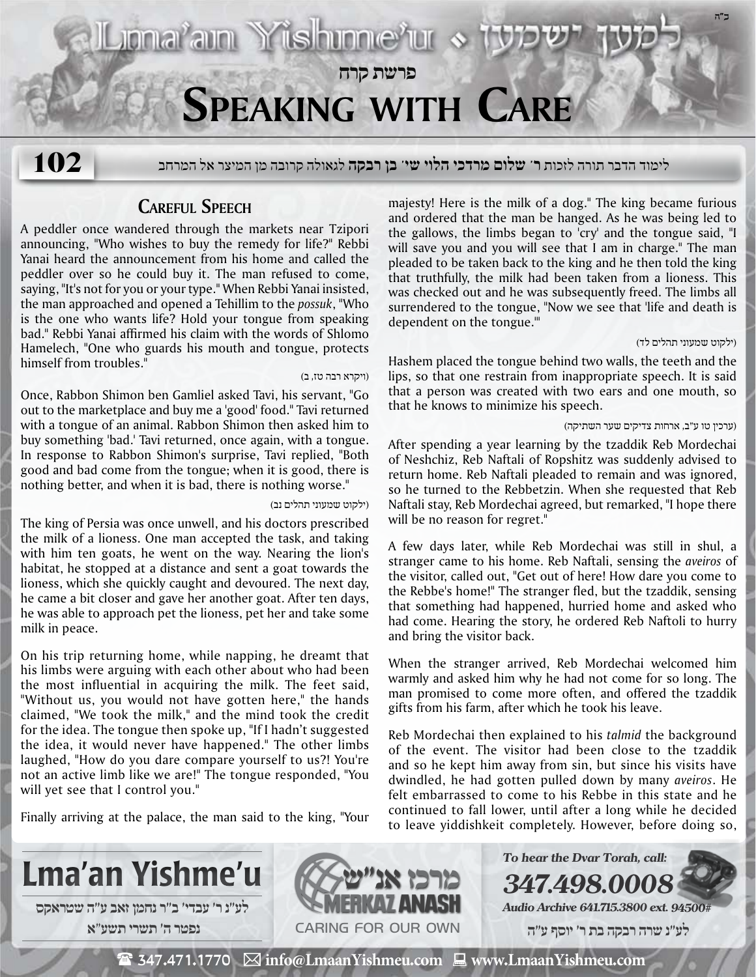

**פרשת קרח**

לימוד הדבר תורה לזכות **ר' שלום מרדכי הלוי שי' בן רבקה** לגאולה קרובה מן המיצר אל המרחב **102**

## **Careful Speech**

Liona<sup>r</sup>ain Yishinne<sup>r</sup>ur

A peddler once wandered through the markets near Tzipori announcing, "Who wishes to buy the remedy for life?" Rebbi Yanai heard the announcement from his home and called the peddler over so he could buy it. The man refused to come, saying, "It's not for you or your type." When Rebbi Yanai insisted, the man approached and opened a Tehillim to the *possuk*, "Who is the one who wants life? Hold your tongue from speaking bad." Rebbi Yanai affirmed his claim with the words of Shlomo Hamelech, "One who guards his mouth and tongue, protects himself from troubles."

#### (ויקרא רבה טז, ב)

Once, Rabbon Shimon ben Gamliel asked Tavi, his servant, "Go out to the marketplace and buy me a 'good' food." Tavi returned with a tongue of an animal. Rabbon Shimon then asked him to buy something 'bad.' Tavi returned, once again, with a tongue. In response to Rabbon Shimon's surprise, Tavi replied, "Both good and bad come from the tongue; when it is good, there is nothing better, and when it is bad, there is nothing worse."

#### (ילקוט שמעוני תהלים נב)

The king of Persia was once unwell, and his doctors prescribed the milk of a lioness. One man accepted the task, and taking with him ten goats, he went on the way. Nearing the lion's habitat, he stopped at a distance and sent a goat towards the lioness, which she quickly caught and devoured. The next day, he came a bit closer and gave her another goat. After ten days, he was able to approach pet the lioness, pet her and take some milk in peace.

On his trip returning home, while napping, he dreamt that his limbs were arguing with each other about who had been the most influential in acquiring the milk. The feet said, "Without us, you would not have gotten here," the hands claimed, "We took the milk," and the mind took the credit for the idea. The tongue then spoke up, "If I hadn't suggested the idea, it would never have happened." The other limbs laughed, "How do you dare compare yourself to us?! You're not an active limb like we are!" The tongue responded, "You will yet see that I control you."

Finally arriving at the palace, the man said to the king, "Your

majesty! Here is the milk of a dog." The king became furious and ordered that the man be hanged. As he was being led to the gallows, the limbs began to 'cry' and the tongue said, "I will save you and you will see that I am in charge." The man pleaded to be taken back to the king and he then told the king that truthfully, the milk had been taken from a lioness. This was checked out and he was subsequently freed. The limbs all surrendered to the tongue, "Now we see that 'life and death is dependent on the tongue.'"

### (ילקוט שמעוני תהלים לד)

**ב"ה**

Hashem placed the tongue behind two walls, the teeth and the lips, so that one restrain from inappropriate speech. It is said that a person was created with two ears and one mouth, so that he knows to minimize his speech.

#### (ערכין טו ע"ב, ארחות צדיקים שער השתיקה)

After spending a year learning by the tzaddik Reb Mordechai of Neshchiz, Reb Naftali of Ropshitz was suddenly advised to return home. Reb Naftali pleaded to remain and was ignored, so he turned to the Rebbetzin. When she requested that Reb Naftali stay, Reb Mordechai agreed, but remarked, "I hope there will be no reason for regret."

A few days later, while Reb Mordechai was still in shul, a stranger came to his home. Reb Naftali, sensing the *aveiros* of the visitor, called out, "Get out of here! How dare you come to the Rebbe's home!" The stranger fled, but the tzaddik, sensing that something had happened, hurried home and asked who had come. Hearing the story, he ordered Reb Naftoli to hurry and bring the visitor back.

When the stranger arrived, Reb Mordechai welcomed him warmly and asked him why he had not come for so long. The man promised to come more often, and offered the tzaddik gifts from his farm, after which he took his leave.

Reb Mordechai then explained to his *talmid* the background of the event. The visitor had been close to the tzaddik and so he kept him away from sin, but since his visits have dwindled, he had gotten pulled down by many *aveiros*. He felt embarrassed to come to his Rebbe in this state and he continued to fall lower, until after a long while he decided to leave yiddishkeit completely. However, before doing so,

**347.498.00** 





**Audio Archive 641.715.3800 ext. 94500#**

**To hear the Dvar Torah, call:**

 **לע"נ שרה רבקה בת ר׳ יוסף ע"ה**

 $**$\mathbb{\widehat{E}}$  347.471.1770  $\,\boxtimes\,$  info@LmaanYishmeu.com  $\,\blacksquare\,$  www.LmaanYishmeu.com**$